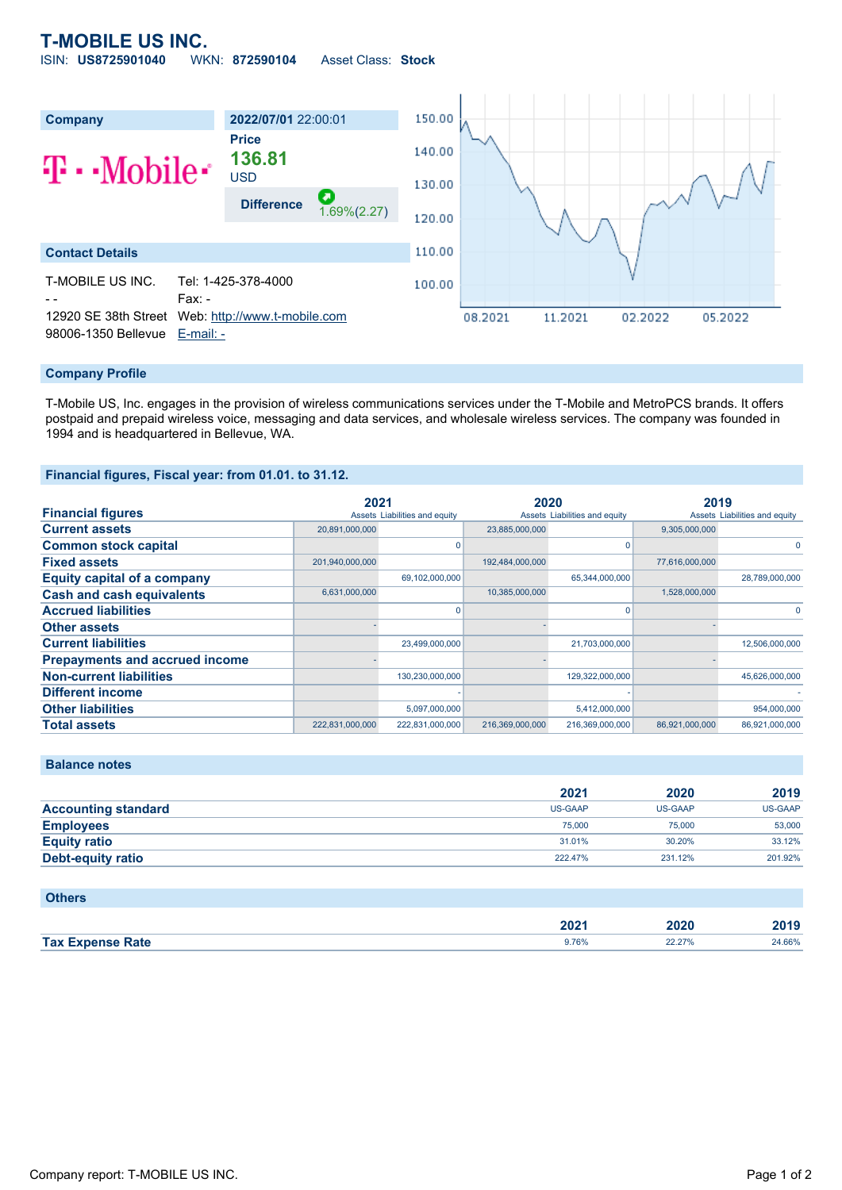# **T-MOBILE US INC.**

ISIN: **US8725901040** WKN: **872590104** Asset Class: **Stock**



### **Company Profile**

T-Mobile US, Inc. engages in the provision of wireless communications services under the T-Mobile and MetroPCS brands. It offers postpaid and prepaid wireless voice, messaging and data services, and wholesale wireless services. The company was founded in 1994 and is headquartered in Bellevue, WA.

#### **Financial figures, Fiscal year: from 01.01. to 31.12.**

|                                       | 2021            |                               | 2020            |                               | 2019           |                               |
|---------------------------------------|-----------------|-------------------------------|-----------------|-------------------------------|----------------|-------------------------------|
| <b>Financial figures</b>              |                 | Assets Liabilities and equity |                 | Assets Liabilities and equity |                | Assets Liabilities and equity |
| <b>Current assets</b>                 | 20,891,000,000  |                               | 23,885,000,000  |                               | 9,305,000,000  |                               |
| <b>Common stock capital</b>           |                 |                               |                 | O                             |                | $\Omega$                      |
| <b>Fixed assets</b>                   | 201,940,000,000 |                               | 192,484,000,000 |                               | 77,616,000,000 |                               |
| Equity capital of a company           |                 | 69,102,000,000                |                 | 65,344,000,000                |                | 28,789,000,000                |
| <b>Cash and cash equivalents</b>      | 6,631,000,000   |                               | 10,385,000,000  |                               | 1,528,000,000  |                               |
| <b>Accrued liabilities</b>            |                 |                               |                 | O                             |                | $\Omega$                      |
| <b>Other assets</b>                   |                 |                               |                 |                               |                |                               |
| <b>Current liabilities</b>            |                 | 23,499,000,000                |                 | 21,703,000,000                |                | 12,506,000,000                |
| <b>Prepayments and accrued income</b> |                 |                               |                 |                               |                |                               |
| <b>Non-current liabilities</b>        |                 | 130,230,000,000               |                 | 129,322,000,000               |                | 45,626,000,000                |
| <b>Different income</b>               |                 |                               |                 |                               |                |                               |
| <b>Other liabilities</b>              |                 | 5,097,000,000                 |                 | 5,412,000,000                 |                | 954,000,000                   |
| <b>Total assets</b>                   | 222.831.000.000 | 222,831,000,000               | 216,369,000,000 | 216,369,000,000               | 86.921.000.000 | 86,921,000,000                |

|                            | 2021           | 2020    | 2019           |
|----------------------------|----------------|---------|----------------|
| <b>Accounting standard</b> | <b>US-GAAP</b> | US-GAAP | <b>US-GAAP</b> |
| <b>Employees</b>           | 75,000         | 75,000  | 53,000         |
| <b>Equity ratio</b>        | 31.01%         | 30.20%  | 33.12%         |
| Debt-equity ratio          | 222.47%        | 231.12% | 201.92%        |
|                            |                |         |                |

## **Others**

**Balance notes**

|                            | $\sim$<br>ZUZ. | 2020                 | 0040<br>--- |
|----------------------------|----------------|----------------------|-------------|
| <b>Tax Expense</b><br>Rate | 9.76%          | 270,<br>$\leftarrow$ | 24.66%      |